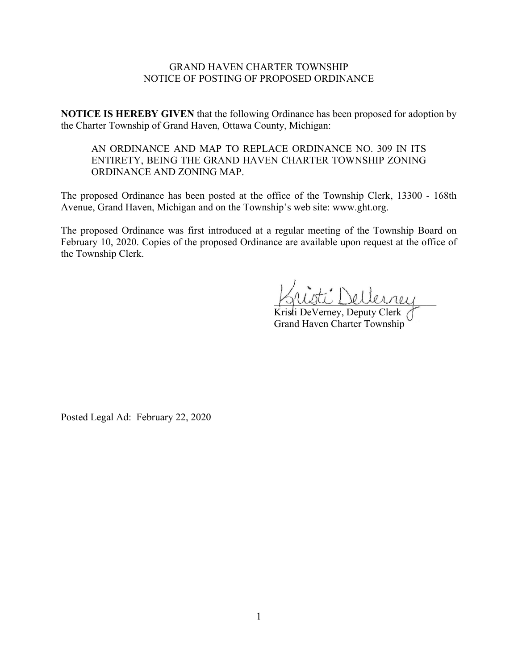## GRAND HAVEN CHARTER TOWNSHIP NOTICE OF POSTING OF PROPOSED ORDINANCE

**NOTICE IS HEREBY GIVEN** that the following Ordinance has been proposed for adoption by the Charter Township of Grand Haven, Ottawa County, Michigan:

# AN ORDINANCE AND MAP TO REPLACE ORDINANCE NO. 309 IN ITS ENTIRETY, BEING THE GRAND HAVEN CHARTER TOWNSHIP ZONING ORDINANCE AND ZONING MAP.

The proposed Ordinance has been posted at the office of the Township Clerk, 13300 - 168th Avenue, Grand Haven, Michigan and on the Township's web site: www.ght.org.

The proposed Ordinance was first introduced at a regular meeting of the Township Board on February 10, 2020. Copies of the proposed Ordinance are available upon request at the office of the Township Clerk.

ti Dellerrey

Kristi DeVerney, Deputy Clerk Grand Haven Charter Township

Posted Legal Ad: February 22, 2020